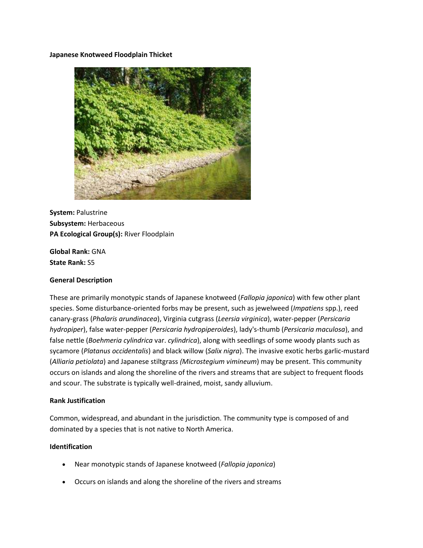#### **Japanese Knotweed Floodplain Thicket**



**System:** Palustrine **Subsystem:** Herbaceous **PA Ecological Group(s):** River Floodplain

**Global Rank:** GNA **State Rank:** S5

# **General Description**

These are primarily monotypic stands of Japanese knotweed (*Fallopia japonica*) with few other plant species. Some disturbance-oriented forbs may be present, such as jewelweed (*Impatiens* spp.), reed canary-grass (*Phalaris arundinacea*), Virginia cutgrass (*Leersia virginica*), water-pepper (*Persicaria hydropiper*), false water-pepper (*Persicaria hydropiperoides*), lady's-thumb (*Persicaria maculosa*), and false nettle (*Boehmeria cylindrica* var. *cylindrica*), along with seedlings of some woody plants such as sycamore (*Platanus occidentalis*) and black willow (*Salix nigra*). The invasive exotic herbs garlic-mustard (*Alliaria petiolata*) and Japanese stiltgrass *(Microstegium vimineum*) may be present. This community occurs on islands and along the shoreline of the rivers and streams that are subject to frequent floods and scour. The substrate is typically well-drained, moist, sandy alluvium.

#### **Rank Justification**

Common, widespread, and abundant in the jurisdiction. The community type is composed of and dominated by a species that is not native to North America.

# **Identification**

- Near monotypic stands of Japanese knotweed (*Fallopia japonica*)
- Occurs on islands and along the shoreline of the rivers and streams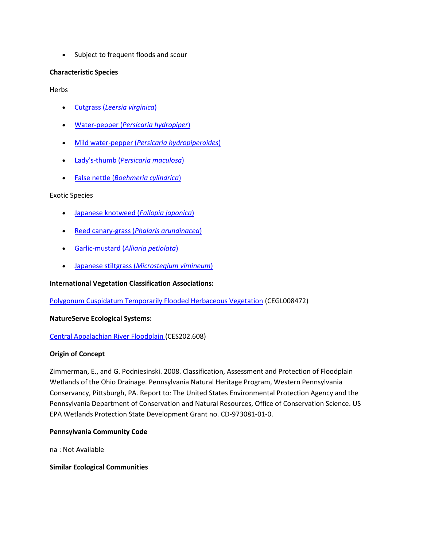• Subject to frequent floods and scour

# **Characteristic Species**

Herbs

- Cutgrass (*[Leersia virginica](http://www.natureserve.org/explorer/servlet/NatureServe?searchName=Leersia+virginica)*)
- Water-pepper (*[Persicaria hydropiper](http://www.natureserve.org/explorer/servlet/NatureServe?searchName=Polygonum%20+hydropiper)*)
- Mild water-pepper (*[Persicaria hydropiperoides](http://www.natureserve.org/explorer/servlet/NatureServe?searchName=Polygonum%20+hydropiperoides)*)
- Lady's-thumb (*[Persicaria maculosa](http://www.natureserve.org/explorer/servlet/NatureServe?searchName=Polygonum+persicaria%20)*)
- False nettle (*[Boehmeria cylindrica](http://www.natureserve.org/explorer/servlet/NatureServe?searchName=Boehmeria+cylindrica)*)

# Exotic Species

- [Japanese knotweed \(](http://www.natureserve.org/explorer/servlet/NatureServe?searchName=Polygonum+cuspidatum)*Fallopia japonica*)
- Reed canary-grass (*[Phalaris arundinacea](http://www.natureserve.org/explorer/servlet/NatureServe?searchName=Phalaris+arundinacea)*)
- Garlic-mustard (*[Alliaria petiolata](http://www.natureserve.org/explorer/servlet/NatureServe?searchName=Alliaria+petiolata)*)
- Japanese stiltgrass (*[Microstegium vimineum](http://www.natureserve.org/explorer/servlet/NatureServe?searchName=Microstegium+vimineum)*)

# **International Vegetation Classification Associations:**

Polygonum Cuspidatum Temporarily Flooded Herbaceous Vegetation (CEGL008472)

# **NatureServe Ecological Systems:**

# [Central Appalachian River Floodplain \(](http://www.natureserve.org/explorer/servlet/NatureServe?searchSystemUid=ELEMENT_GLOBAL.2.723001)CES202.608)

# **Origin of Concept**

Zimmerman, E., and G. Podniesinski. 2008. Classification, Assessment and Protection of Floodplain Wetlands of the Ohio Drainage. Pennsylvania Natural Heritage Program, Western Pennsylvania Conservancy, Pittsburgh, PA. Report to: The United States Environmental Protection Agency and the Pennsylvania Department of Conservation and Natural Resources, Office of Conservation Science. US EPA Wetlands Protection State Development Grant no. CD-973081-01-0.

# **Pennsylvania Community Code**

na : Not Available

# **Similar Ecological Communities**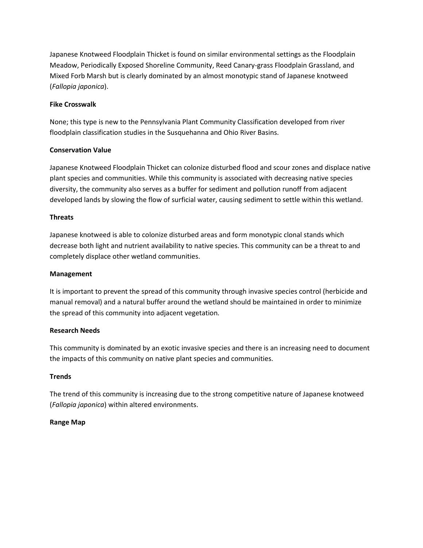Japanese Knotweed Floodplain Thicket is found on similar environmental settings as the Floodplain Meadow, Periodically Exposed Shoreline Community, Reed Canary-grass Floodplain Grassland, and Mixed Forb Marsh but is clearly dominated by an almost monotypic stand of Japanese knotweed (*Fallopia japonica*).

# **Fike Crosswalk**

None; this type is new to the Pennsylvania Plant Community Classification developed from river floodplain classification studies in the Susquehanna and Ohio River Basins.

# **Conservation Value**

Japanese Knotweed Floodplain Thicket can colonize disturbed flood and scour zones and displace native plant species and communities. While this community is associated with decreasing native species diversity, the community also serves as a buffer for sediment and pollution runoff from adjacent developed lands by slowing the flow of surficial water, causing sediment to settle within this wetland.

# **Threats**

Japanese knotweed is able to colonize disturbed areas and form monotypic clonal stands which decrease both light and nutrient availability to native species. This community can be a threat to and completely displace other wetland communities.

#### **Management**

It is important to prevent the spread of this community through invasive species control (herbicide and manual removal) and a natural buffer around the wetland should be maintained in order to minimize the spread of this community into adjacent vegetation.

# **Research Needs**

This community is dominated by an exotic invasive species and there is an increasing need to document the impacts of this community on native plant species and communities.

# **Trends**

The trend of this community is increasing due to the strong competitive nature of Japanese knotweed (*Fallopia japonica*) within altered environments.

# **Range Map**